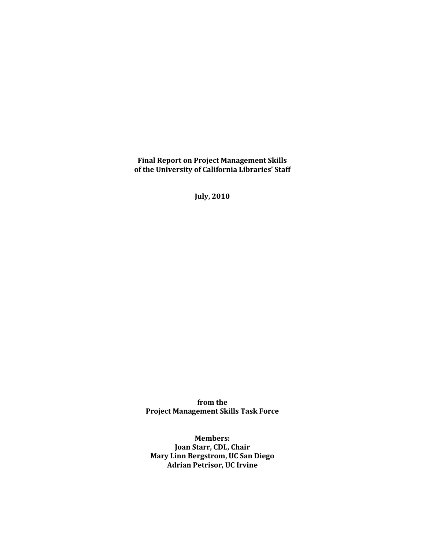**Final Report on Project Management Skills of the University of California Libraries' Staff**

**July, 2010**

**from the Project Management Skills Task Force**

**Members: Joan Starr, CDL, Chair Mary Linn Bergstrom, UC San Diego Adrian Petrisor, UC Irvine**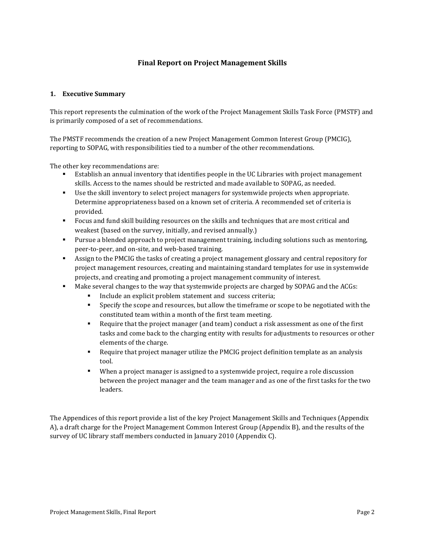# **Final Report on Project Management Skills**

## **1. Executive Summary**

This report represents the culmination of the work of the Project Management Skills Task Force (PMSTF) and is primarily composed of a set of recommendations.

The PMSTF recommends the creation of a new Project Management Common Interest Group (PMCIG), reporting to SOPAG, with responsibilities tied to a number of the other recommendations.

The other key recommendations are:

- Establish an annual inventory that identifies people in the UC Libraries with project management skills. Access to the names should be restricted and made available to SOPAG, as needed.
- Use the skill inventory to select project managers for systemwide projects when appropriate. Determine appropriateness based on a known set of criteria. A recommended set of criteria is provided.
- Focus and fund skill building resources on the skills and techniques that are most critical and weakest (based on the survey, initially, and revised annually.)
- Pursue a blended approach to project management training, including solutions such as mentoring, peer-to-peer, and on-site, and web-based training.
- Assign to the PMCIG the tasks of creating a project management glossary and central repository for project management resources, creating and maintaining standard templates for use in systemwide projects, and creating and promoting a project management community of interest.
- Make several changes to the way that systemwide projects are charged by SOPAG and the ACGs:
	- Include an explicit problem statement and success criteria;
	- Specify the scope and resources, but allow the timeframe or scope to be negotiated with the constituted team within a month of the first team meeting.
	- Require that the project manager (and team) conduct a risk assessment as one of the first tasks and come back to the charging entity with results for adjustments to resources or other elements of the charge.
	- Require that project manager utilize the PMCIG project definition template as an analysis tool.
	- When a project manager is assigned to a systemwide project, require a role discussion between the project manager and the team manager and as one of the first tasks for the two leaders.

The Appendices of this report provide a list of the key Project Management Skills and Techniques (Appendix A), a draft charge for the Project Management Common Interest Group (Appendix B), and the results of the survey of UC library staff members conducted in January 2010 (Appendix C).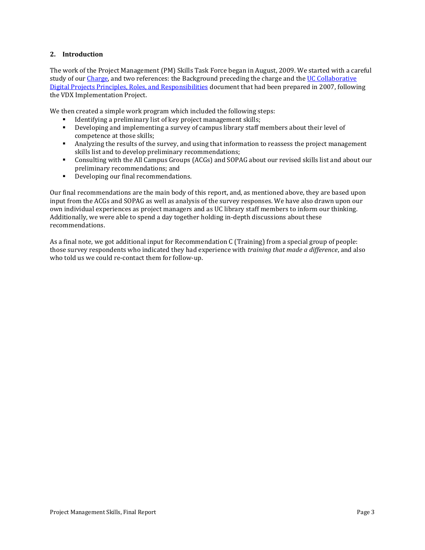### **2. Introduction**

The work of the Project Management (PM) Skills Task Force began in August, 2009. We started with a careful study of ou[r Charge,](http://libraries.universityofcalifornia.edu/sopag/pmtf/proj_mgt_tf_charge.pdf) and two references: the Background preceding the charge and th[e UC Collaborative](http://libraries.universityofcalifornia.edu/sopag/digi/roles.pdf)  [Digital Projects Principles, Roles, and Responsibilities](http://libraries.universityofcalifornia.edu/sopag/digi/roles.pdf) document that had been prepared in 2007, following the VDX Implementation Project.

We then created a simple work program which included the following steps:

- Identifying a preliminary list of key project management skills;
- Developing and implementing a survey of campus library staff members about their level of competence at those skills;
- Analyzing the results of the survey, and using that information to reassess the project management skills list and to develop preliminary recommendations;
- Consulting with the All Campus Groups (ACGs) and SOPAG about our revised skills list and about our preliminary recommendations; and
- Developing our final recommendations.

Our final recommendations are the main body of this report, and, as mentioned above, they are based upon input from the ACGs and SOPAG as well as analysis of the survey responses. We have also drawn upon our own individual experiences as project managers and as UC library staff members to inform our thinking. Additionally, we were able to spend a day together holding in-depth discussions about these recommendations.

As a final note, we got additional input for Recommendation C (Training) from a special group of people: those survey respondents who indicated they had experience with *training that made a difference*, and also who told us we could re-contact them for follow-up.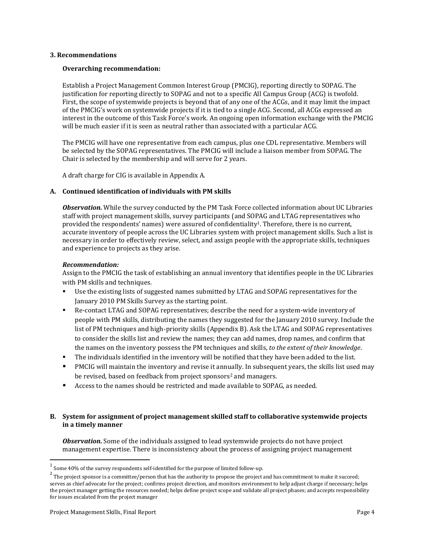### **3. Recommendations**

### **Overarching recommendation:**

Establish a Project Management Common Interest Group (PMCIG), reporting directly to SOPAG. The justification for reporting directly to SOPAG and not to a specific All Campus Group (ACG) is twofold. First, the scope of systemwide projects is beyond that of any one of the ACGs, and it may limit the impact of the PMCIG's work on systemwide projects if it is tied to a single ACG. Second, all ACGs expressed an interest in the outcome of this Task Force's work. An ongoing open information exchange with the PMCIG will be much easier if it is seen as neutral rather than associated with a particular ACG.

The PMCIG will have one representative from each campus, plus one CDL representative. Members will be selected by the SOPAG representatives. The PMCIG will include a liaison member from SOPAG. The Chair is selected by the membership and will serve for 2 years.

A draft charge for CIG is available in Appendix A.

## **A. Continued identification of individuals with PM skills**

*Observation.* While the survey conducted by the PM Task Force collected information about UC Libraries staff with project management skills, survey participants (and SOPAG and LTAG representatives who provided the respondents' names) were assured of confidentiality<sup>1</sup>. Therefore, there is no current, accurate inventory of people across the UC Libraries system with project management skills. Such a list is necessary in order to effectively review, select, and assign people with the appropriate skills, techniques and experience to projects as they arise.

### *Recommendation:*

Assign to the PMCIG the task of establishing an annual inventory that identifies people in the UC Libraries with PM skills and techniques.

- Use the existing lists of suggested names submitted by LTAG and SOPAG representatives for the January 2010 PM Skills Survey as the starting point.
- Re-contact LTAG and SOPAG representatives; describe the need for a system-wide inventory of people with PM skills, distributing the names they suggested for the January 2010 survey. Include the list of PM techniques and high-priority skills (Appendix B). Ask the LTAG and SOPAG representatives to consider the skills list and review the names; they can add names, drop names, and confirm that the names on the inventory possess the PM techniques and skills, *to the extent of their knowledge*.
- The individuals identified in the inventory will be notified that they have been added to the list.
- PMCIG will maintain the inventory and revise it annually. In subsequent years, the skills list used may be revised, based on feedback from project sponsors<sup>2</sup> and managers.
- Access to the names should be restricted and made available to SOPAG, as needed.

### **B. System for assignment of project management skilled staff to collaborative systemwide projects in a timely manner**

**Observation.** Some of the individuals assigned to lead systemwide projects do not have project management expertise. There is inconsistency about the process of assigning project management

 1 Some 40% of the survey respondents self-identified for the purpose of limited follow-up.

 $^2$  The project sponsor is a committee/person that has the authority to propose the project and has commitment to make it succeed; serves as chief advocate for the project; confirms project direction, and monitors environment to help adjust charge if necessary; helps the project manager getting the resources needed; helps define project scope and validate all project phases; and accepts responsibility for issues escalated from the project manager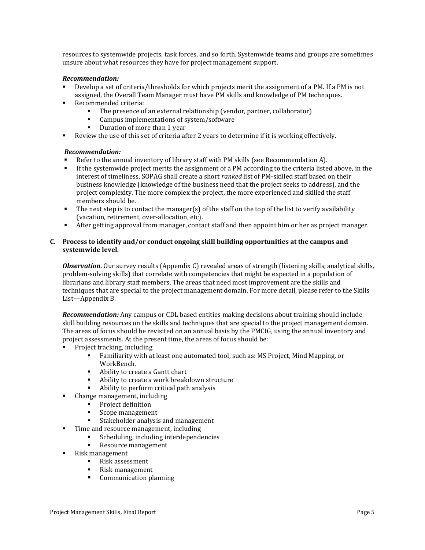resources to systemwide projects, task forces, and so forth. Systemwide teams and groups are sometimes unsure about what resources they have for project management support.

### *Recommendation:*

- Develop a set of criteria/thresholds for which projects merit the assignment of a PM. If a PM is not assigned, the Overall Team Manager must have PM skills and knowledge of PM techniques.
- Recommended criteria:
	- The presence of an external relationship (vendor, partner, collaborator)
	- Campus implementations of system/software
	- Duration of more than 1 year
- Review the use of this set of criteria after 2 years to determine if it is working effectively.

#### *Recommendation:*

- Refer to the annual inventory of library staff with PM skills (see Recommendation A).
- If the systemwide project merits the assignment of a PM according to the criteria listed above, in the interest of timeliness, SOPAG shall create a short *ranked* list of PM-skilled staff based on their business knowledge (knowledge of the business need that the project seeks to address), and the project complexity. The more complex the project, the more experienced and skilled the staff members should be.
- The next step is to contact the manager(s) of the staff on the top of the list to verify availability (vacation, retirement, over-allocation, etc).
- After getting approval from manager, contact staff and then appoint him or her as project manager.

### **C. Process to identify and/or conduct ongoing skill building opportunities at the campus and systemwide level.**

*Observation.* Our survey results (Appendix C) revealed areas of strength (listening skills, analytical skills, problem-solving skills) that correlate with competencies that might be expected in a population of librarians and library staff members. The areas that need most improvement are the skills and techniques that are special to the project management domain. For more detail, please refer to the Skills List—Appendix B.

*Recommendation:* Any campus or CDL based entities making decisions about training should include skill building resources on the skills and techniques that are special to the project management domain. The areas of focus should be revisited on an annual basis by the PMCIG, using the annual inventory and project assessments. At the present time, the areas of focus should be:

- Project tracking, including
	- Familiarity with at least one automated tool, such as: MS Project, Mind Mapping, or WorkBench.
	- Ability to create a Gantt chart
	- Ability to create a work breakdown structure
	- Ability to perform critical path analysis
- Change management, including
	- Project definition
	- Scope management
	- Stakeholder analysis and management
- **Time and resource management, including** 
	- Scheduling, including interdependencies
	- Resource management
- Risk management
	- **Risk assessment**
	- Risk management
	- **Communication planning**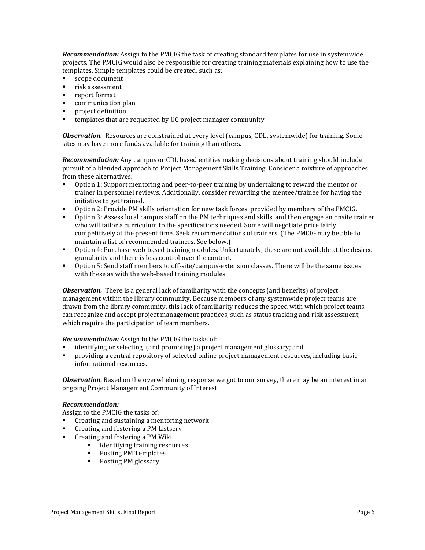*Recommendation:* Assign to the PMCIG the task of creating standard templates for use in systemwide projects. The PMCIG would also be responsible for creating training materials explaining how to use the templates. Simple templates could be created, such as:

- scope document
- **Filter** risk assessment
- **report format**
- **•** communication plan
- **project definition**
- templates that are requested by UC project manager community

*Observation.* Resources are constrained at every level (campus, CDL, systemwide) for training. Some sites may have more funds available for training than others.

*Recommendation:* Any campus or CDL based entities making decisions about training should include pursuit of a blended approach to Project Management Skills Training. Consider a mixture of approaches from these alternatives:

- Option 1: Support mentoring and peer-to-peer training by undertaking to reward the mentor or trainer in personnel reviews. Additionally, consider rewarding the mentee/trainee for having the initiative to get trained.
- Option 2: Provide PM skills orientation for new task forces, provided by members of the PMCIG.
- Option 3: Assess local campus staff on the PM techniques and skills, and then engage an onsite trainer who will tailor a curriculum to the specifications needed. Some will negotiate price fairly competitively at the present time. Seek recommendations of trainers. (The PMCIG may be able to maintain a list of recommended trainers. See below.)
- Option 4: Purchase web-based training modules. Unfortunately, these are not available at the desired granularity and there is less control over the content.
- Option 5: Send staff members to off-site/campus-extension classes. There will be the same issues with these as with the web-based training modules.

*Observation.* There is a general lack of familiarity with the concepts (and benefits) of project management within the library community. Because members of any systemwide project teams are drawn from the library community, this lack of familiarity reduces the speed with which project teams can recognize and accept project management practices, such as status tracking and risk assessment, which require the participation of team members.

*Recommendation:* Assign to the PMCIG the tasks of:

- identifying or selecting (and promoting) a project management glossary; and
- providing a central repository of selected online project management resources, including basic informational resources.

*Observation.* Based on the overwhelming response we got to our survey, there may be an interest in an ongoing Project Management Community of Interest.

#### *Recommendation:*

Assign to the PMCIG the tasks of:

- **•** Creating and sustaining a mentoring network
- Creating and fostering a PM Listserv
- Creating and fostering a PM Wiki
	- **IDENTIFYING THE INCOCO PROPERTY IDENTIFYING**
	- Posting PM Templates
	- Posting PM glossary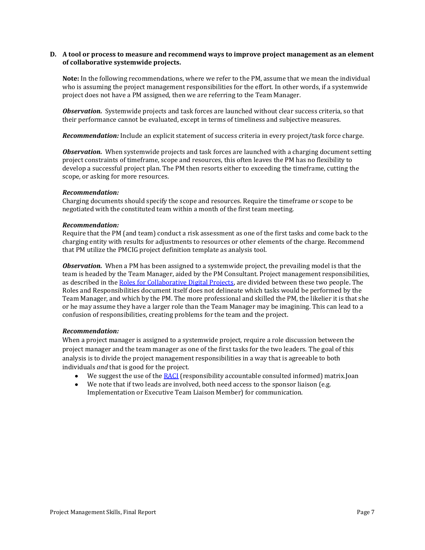### **D. A tool or process to measure and recommend ways to improve project management as an element of collaborative systemwide projects.**

**Note:** In the following recommendations, where we refer to the PM, assume that we mean the individual who is assuming the project management responsibilities for the effort. In other words, if a systemwide project does not have a PM assigned, then we are referring to the Team Manager.

*Observation.* Systemwide projects and task forces are launched without clear success criteria, so that their performance cannot be evaluated, except in terms of timeliness and subjective measures.

*Recommendation:* Include an explicit statement of success criteria in every project/task force charge.

*Observation.* When systemwide projects and task forces are launched with a charging document setting project constraints of timeframe, scope and resources, this often leaves the PM has no flexibility to develop a successful project plan. The PM then resorts either to exceeding the timeframe, cutting the scope, or asking for more resources.

### *Recommendation:*

Charging documents should specify the scope and resources. Require the timeframe or scope to be negotiated with the constituted team within a month of the first team meeting.

#### *Recommendation:*

Require that the PM (and team) conduct a risk assessment as one of the first tasks and come back to the charging entity with results for adjustments to resources or other elements of the charge. Recommend that PM utilize the PMCIG project definition template as analysis tool.

*Observation.* When a PM has been assigned to a systemwide project, the prevailing model is that the team is headed by the Team Manager, aided by the PM Consultant. Project management responsibilities, as described in the [Roles for Collaborative Digital Projects,](http://libraries.universityofcalifornia.edu/sopag/digi/roles.pdf) are divided between these two people. The Roles and Responsibilities document itself does not delineate which tasks would be performed by the Team Manager, and which by the PM. The more professional and skilled the PM, the likelier it is that she or he may assume they have a larger role than the Team Manager may be imagining. This can lead to a confusion of responsibilities, creating problems for the team and the project.

### *Recommendation:*

When a project manager is assigned to a systemwide project, require a role discussion between the project manager and the team manager as one of the first tasks for the two leaders. The goal of this analysis is to divide the project management responsibilities in a way that is agreeable to both individuals *and* that is good for the project.

- We suggest the use of the [RACI](http://en.wikipedia.org/wiki/Responsibility_assignment_matrix) (responsibility accountable consulted informed) matrix. Joan
- We note that if two leads are involved, both need access to the sponsor liaison (e.g. Implementation or Executive Team Liaison Member) for communication.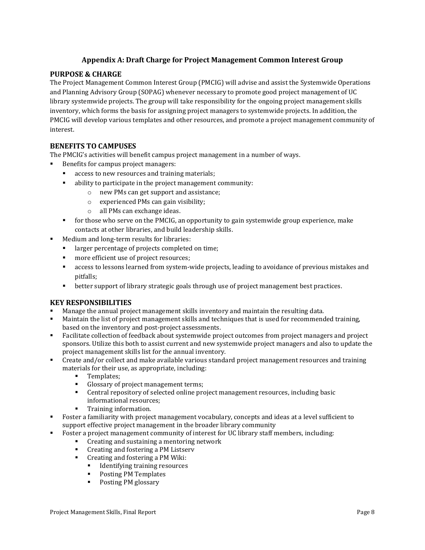# **Appendix A: Draft Charge for Project Management Common Interest Group**

# **PURPOSE & CHARGE**

The Project Management Common Interest Group (PMCIG) will advise and assist the Systemwide Operations and Planning Advisory Group (SOPAG) whenever necessary to promote good project management of UC library systemwide projects. The group will take responsibility for the ongoing project management skills inventory, which forms the basis for assigning project managers to systemwide projects. In addition, the PMCIG will develop various templates and other resources, and promote a project management community of interest.

# **BENEFITS TO CAMPUSES**

The PMCIG's activities will benefit campus project management in a number of ways.

- Benefits for campus project managers:
	- **access to new resources and training materials;**
	- ability to participate in the project management community:
		- o new PMs can get support and assistance;
		- o experienced PMs can gain visibility;
		- o all PMs can exchange ideas.
	- for those who serve on the PMCIG, an opportunity to gain systemwide group experience, make contacts at other libraries, and build leadership skills.
- Medium and long-term results for libraries:
	- **If** larger percentage of projects completed on time;
	- **namore efficient use of project resources;**
	- access to lessons learned from system-wide projects, leading to avoidance of previous mistakes and pitfalls;
	- better support of library strategic goals through use of project management best practices.

# **KEY RESPONSIBILITIES**

- Manage the annual project management skills inventory and maintain the resulting data.
- Maintain the list of project management skills and techniques that is used for recommended training, based on the inventory and post-project assessments.
- Facilitate collection of feedback about systemwide project outcomes from project managers and project sponsors. Utilize this both to assist current and new systemwide project managers and also to update the project management skills list for the annual inventory.
- Create and/or collect and make available various standard project management resources and training materials for their use, as appropriate, including:
	- Templates;
	- Glossary of project management terms;
	- Central repository of selected online project management resources, including basic informational resources;
	- **Training information.**
- Foster a familiarity with project management vocabulary, concepts and ideas at a level sufficient to support effective project management in the broader library community
	- Foster a project management community of interest for UC library staff members, including:
		- **•** Creating and sustaining a mentoring network
		- Creating and fostering a PM Listserv
		- **•** Creating and fostering a PM Wiki:
			- **IDENTIFYING THE INCOCO PROPERTY IDENTIFYING** 
				- **Posting PM Templates**
				- Posting PM glossary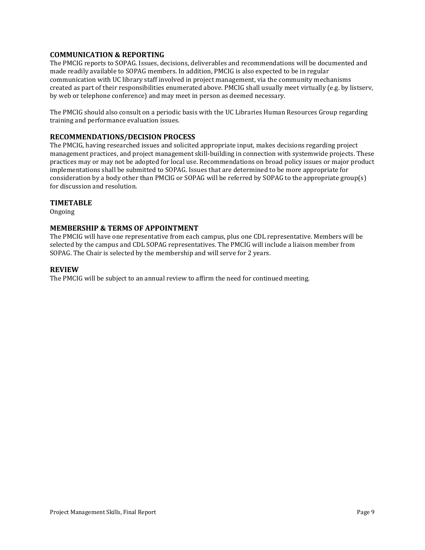# **COMMUNICATION & REPORTING**

The PMCIG reports to SOPAG. Issues, decisions, deliverables and recommendations will be documented and made readily available to SOPAG members. In addition, PMCIG is also expected to be in regular communication with UC library staff involved in project management, via the community mechanisms created as part of their responsibilities enumerated above. PMCIG shall usually meet virtually (e.g. by listserv, by web or telephone conference) and may meet in person as deemed necessary.

The PMCIG should also consult on a periodic basis with the UC Libraries Human Resources Group regarding training and performance evaluation issues.

# **RECOMMENDATIONS/DECISION PROCESS**

The PMCIG, having researched issues and solicited appropriate input, makes decisions regarding project management practices, and project management skill-building in connection with systemwide projects. These practices may or may not be adopted for local use. Recommendations on broad policy issues or major product implementations shall be submitted to SOPAG. Issues that are determined to be more appropriate for consideration by a body other than PMCIG or SOPAG will be referred by SOPAG to the appropriate group(s) for discussion and resolution.

### **TIMETABLE**

Ongoing

## **MEMBERSHIP & TERMS OF APPOINTMENT**

The PMCIG will have one representative from each campus, plus one CDL representative. Members will be selected by the campus and CDL SOPAG representatives. The PMCIG will include a liaison member from SOPAG. The Chair is selected by the membership and will serve for 2 years.

### **REVIEW**

The PMCIG will be subject to an annual review to affirm the need for continued meeting.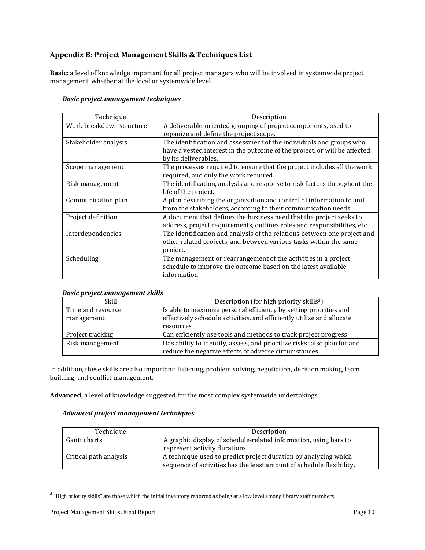# **Appendix B: Project Management Skills & Techniques List**

**Basic:** a level of knowledge important for all project managers who will be involved in systemwide project management, whether at the local or systemwide level.

| Technique                | Description                                                               |
|--------------------------|---------------------------------------------------------------------------|
| Work breakdown structure | A deliverable-oriented grouping of project components, used to            |
|                          | organize and define the project scope.                                    |
| Stakeholder analysis     | The identification and assessment of the individuals and groups who       |
|                          | have a vested interest in the outcome of the project, or will be affected |
|                          | by its deliverables.                                                      |
| Scope management         | The processes required to ensure that the project includes all the work   |
|                          | required, and only the work required.                                     |
| Risk management          | The identification, analysis and response to risk factors throughout the  |
|                          | life of the project.                                                      |
| Communication plan       | A plan describing the organization and control of information to and      |
|                          | from the stakeholders, according to their communication needs.            |
| Project definition       | A document that defines the business need that the project seeks to       |
|                          | address, project requirements, outlines roles and responsibilities, etc.  |
| Interdependencies        | The identification and analysis of the relations between one project and  |
|                          | other related projects, and between various tasks within the same         |
|                          | project.                                                                  |
| Scheduling               | The management or rearrangement of the activities in a project            |
|                          | schedule to improve the outcome based on the latest available             |
|                          | information.                                                              |

## *Basic project management techniques*

#### *Basic project management skills*

| Skill             | Description (for high priority skills <sup>3</sup> )                     |
|-------------------|--------------------------------------------------------------------------|
| Time and resource | Is able to maximize personal efficiency by setting priorities and        |
| management        | effectively schedule activities, and efficiently utilize and allocate    |
|                   | resources                                                                |
| Project tracking  | Can efficiently use tools and methods to track project progress          |
| Risk management   | Has ability to identify, assess, and prioritize risks; also plan for and |
|                   | reduce the negative effects of adverse circumstances                     |

In addition, these skills are also important: listening, problem solving, negotiation, decision making, team building, and conflict management.

**Advanced,** a level of knowledge suggested for the most complex systemwide undertakings.

# *Advanced project management techniques*

| Technique              | Description                                                                                                                             |
|------------------------|-----------------------------------------------------------------------------------------------------------------------------------------|
| Gantt charts           | A graphic display of schedule-related information, using bars to<br>represent activity durations.                                       |
| Critical path analysis | A technique used to predict project duration by analyzing which<br>sequence of activities has the least amount of schedule flexibility. |

 3 "High priority skills" are those which the initial inventory reported as being at a low level among library staff members.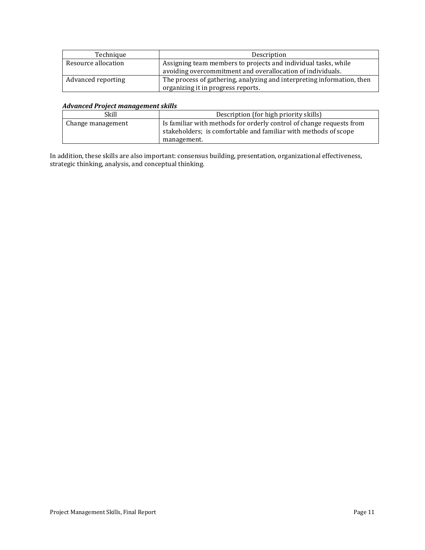| Technique           | Description                                                            |
|---------------------|------------------------------------------------------------------------|
| Resource allocation | Assigning team members to projects and individual tasks, while         |
|                     | avoiding overcommitment and overallocation of individuals.             |
| Advanced reporting  | The process of gathering, analyzing and interpreting information, then |
|                     | organizing it in progress reports.                                     |

## *Advanced Project management skills*

| Skill             | Description (for high priority skills)                                                                                                                 |
|-------------------|--------------------------------------------------------------------------------------------------------------------------------------------------------|
| Change management | Is familiar with methods for orderly control of change requests from<br>stakeholders; is comfortable and familiar with methods of scope<br>management. |

In addition, these skills are also important: consensus building, presentation, organizational effectiveness, strategic thinking, analysis, and conceptual thinking.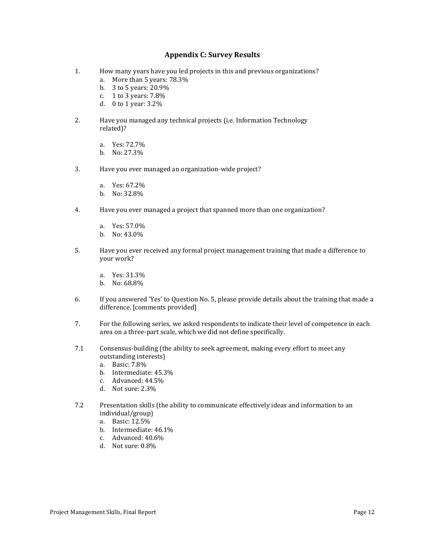## **Appendix C: Survey Results**

- 1. How many years have you led projects in this and previous organizations?
	- a. More than 5 years: 78.3%
	- b. 3 to 5 years: 20.9%
	- c. 1 to 3 years: 7.8%
	- d. 0 to 1 year: 3.2%
- 2. Have you managed any technical projects (i.e. Information Technology related)?
	- a. Yes: 72.7%
	- b. No: 27.3%
- 3. Have you ever managed an organization-wide project?
	- a. Yes: 67.2%
	- b. No: 32.8%
- 4. Have you ever managed a project that spanned more than one organization?
	- a. Yes: 57.0%
	- b. No: 43.0%
- 5. Have you ever received any formal project management training that made a difference to your work?
	- a. Yes: 31.3%
	- b. No: 68.8%
- 6. If you answered 'Yes' to Question No. 5, please provide details about the training that made a difference. [comments provided]
- 7. For the following series, we asked respondents to indicate their level of competence in each area on a three-part scale, which we did not define specifically.
- 7.1 Consensus-building (the ability to seek agreement, making every effort to meet any outstanding interests)
	- a. Basic: 7.8%
	- b. Intermediate: 45.3%
	- c. Advanced: 44.5%
	- d. Not sure: 2.3%
- 7.2 Presentation skills (the ability to communicate effectively ideas and information to an individual/group)
	- a. Basic: 12.5%
	- b. Intermediate: 46.1%
	- c. Advanced: 40.6%
	- d. Not sure: 0.8%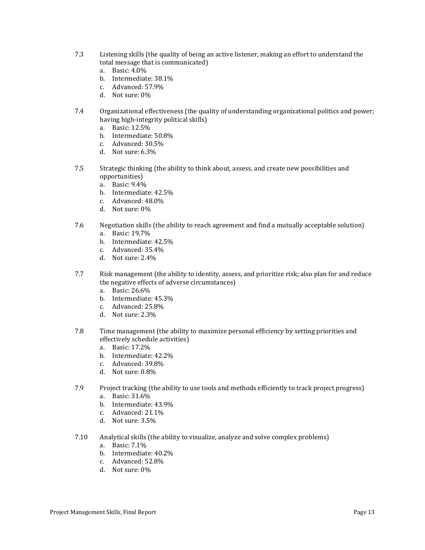- 7.3 Listening skills (the quality of being an active listener, making an effort to understand the total message that is communicated)
	- a. Basic: 4.0%
	- b. Intermediate: 38.1%
	- c. Advanced: 57.9%
	- d. Not sure: 0%
- 7.4 Organizational effectiveness (the quality of understanding organizational politics and power; having high-integrity political skills)
	- a. Basic: 12.5%
	- b. Intermediate: 50.8%
	- c. Advanced: 30.5%
	- d. Not sure: 6.3%
- 7.5 Strategic thinking (the ability to think about, assess, and create new possibilities and opportunities)
	- a. Basic: 9.4%
	- b. Intermediate: 42.5%
	- c. Advanced: 48.0%
	- d. Not sure: 0%
- 7.6 Negotiation skills (the ability to reach agreement and find a mutually acceptable solution)
	- a. Basic: 19.7%
	- b. Intermediate: 42.5%
	- c. Advanced: 35.4%
	- d. Not sure: 2.4%
- 7.7 Risk management (the ability to identity, assess, and prioritize risk; also plan for and reduce the negative effects of adverse circumstances)
	- a. Basic: 26.6%
	- b. Intermediate: 45.3%
	- c. Advanced: 25.8%
	- d. Not sure: 2.3%
- 7.8 Time management (the ability to maximize personal efficiency by setting priorities and effectively schedule activities)
	- a. Basic: 17.2%
	- b. Intermediate: 42.2%
	- c. Advanced: 39.8%
	- d. Not sure: 0.8%
- 7.9 Project tracking (the ability to use tools and methods efficiently to track project progress) a. Basic: 31.6%
	- b. Intermediate: 43.9%
	- c. Advanced: 21.1%
	- d. Not sure: 3.5%
- 7.10 Analytical skills (the ability to visualize, analyze and solve complex problems)
	- a. Basic: 7.1%
	- b. Intermediate: 40.2%
	- c. Advanced: 52.8%
	- d. Not sure: 0%